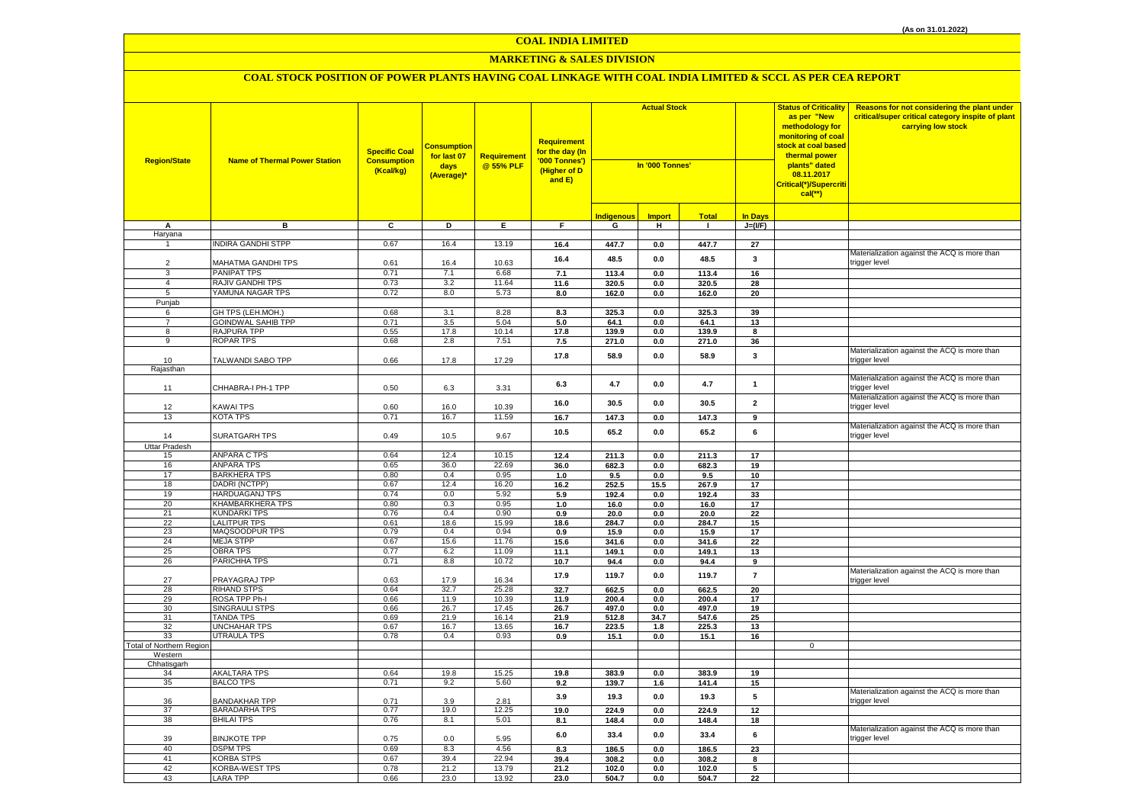# **MARKETING & SALES DIVISION**

| <b>Region/State</b>      | <b>Name of Thermal Power Station</b>           | <b>Specific Coal</b><br><b>Consumption</b><br>(Kcal/kg) | <b>Consumption</b><br>for last 07<br>days<br>(Average)* | Requirement<br>@ 55% PLF | Requirement<br>for the day (In<br>'000 Tonnes')<br>(Higher of D<br>and E) | <b>Actual Stock</b><br>In '000 Tonnes' |                 |                |                | <b>Status of Criticality</b><br>as per "New<br>methodology for<br>monitoring of coal<br><mark>stock at coal based</mark><br>thermal power<br>plants" dated<br>08.11.2017<br>Critical(*)/Supercriti<br>$cal$ (**) | Reasons for not considering the plant under<br>critical/super critical category inspite of plant<br>carrying low stock |
|--------------------------|------------------------------------------------|---------------------------------------------------------|---------------------------------------------------------|--------------------------|---------------------------------------------------------------------------|----------------------------------------|-----------------|----------------|----------------|------------------------------------------------------------------------------------------------------------------------------------------------------------------------------------------------------------------|------------------------------------------------------------------------------------------------------------------------|
|                          |                                                |                                                         |                                                         |                          |                                                                           | <b>Indigenous</b>                      | <b>Import</b>   | <b>Total</b>   | <b>In Days</b> |                                                                                                                                                                                                                  |                                                                                                                        |
| А                        | в                                              | C                                                       | D                                                       | E.                       | F.                                                                        | G                                      | н               | $\mathbf{L}$   | $J=(VF)$       |                                                                                                                                                                                                                  |                                                                                                                        |
| Haryana<br>$\mathbf{1}$  | <b>NDIRA GANDHI STPP</b>                       | 0.67                                                    | 16.4                                                    | 13.19                    | 16.4                                                                      | 447.7                                  | $0.0\,$         | 447.7          | 27             |                                                                                                                                                                                                                  |                                                                                                                        |
|                          |                                                |                                                         |                                                         |                          |                                                                           |                                        |                 |                |                |                                                                                                                                                                                                                  | Materialization against the ACQ is more than                                                                           |
| $\overline{2}$           | MAHATMA GANDHI TPS                             | 0.61                                                    | 16.4                                                    | 10.63                    | 16.4                                                                      | 48.5                                   | 0.0             | 48.5           | 3              |                                                                                                                                                                                                                  | trigger level                                                                                                          |
| 3                        | PANIPAT TPS                                    | 0.71                                                    | 7.1                                                     | 6.68                     | 7.1                                                                       | 113.4                                  | 0.0             | 113.4          | 16             |                                                                                                                                                                                                                  |                                                                                                                        |
| $\overline{4}$           | RAJIV GANDHI TPS                               | 0.73                                                    | 3.2                                                     | 11.64                    | 11.6                                                                      | 320.5                                  | $0.0\,$         | 320.5          | 28             |                                                                                                                                                                                                                  |                                                                                                                        |
| 5                        | YAMUNA NAGAR TPS                               | 0.72                                                    | 8.0                                                     | 5.73                     | 8.0                                                                       | 162.0                                  | 0.0             | 162.0          | 20             |                                                                                                                                                                                                                  |                                                                                                                        |
| Punjab                   |                                                |                                                         |                                                         |                          |                                                                           |                                        |                 |                |                |                                                                                                                                                                                                                  |                                                                                                                        |
| 6<br>$\overline{7}$      | GH TPS (LEH.MOH.)<br><b>GOINDWAL SAHIB TPP</b> | 0.68<br>0.71                                            | 3.1<br>3.5                                              | 8.28<br>5.04             | 8.3                                                                       | 325.3                                  | $0.0\,$         | 325.3          | 39             |                                                                                                                                                                                                                  |                                                                                                                        |
| $\overline{8}$           | RAJPURA TPP                                    | 0.55                                                    | 17.8                                                    | 10.14                    | 5.0<br>17.8                                                               | 64.1<br>139.9                          | 0.0<br>0.0      | 64.1<br>139.9  | 13<br>8        |                                                                                                                                                                                                                  |                                                                                                                        |
| 9                        | <b>ROPAR TPS</b>                               | 0.68                                                    | 2.8                                                     | 7.51                     | 7.5                                                                       | 271.0                                  | $0.0\,$         | 271.0          | 36             |                                                                                                                                                                                                                  |                                                                                                                        |
|                          |                                                |                                                         |                                                         |                          |                                                                           |                                        |                 |                |                |                                                                                                                                                                                                                  | Materialization against the ACQ is more than                                                                           |
| 10                       | TALWANDI SABO TPP                              | 0.66                                                    | 17.8                                                    | 17.29                    | 17.8                                                                      | 58.9                                   | 0.0             | 58.9           | 3              |                                                                                                                                                                                                                  | trigger level                                                                                                          |
| Rajasthan                |                                                |                                                         |                                                         |                          |                                                                           |                                        |                 |                |                |                                                                                                                                                                                                                  |                                                                                                                        |
|                          |                                                |                                                         |                                                         |                          | 6.3                                                                       | 4.7                                    | 0.0             | 4.7            | $\overline{1}$ |                                                                                                                                                                                                                  | Materialization against the ACQ is more than                                                                           |
| 11                       | CHHABRA-I PH-1 TPP                             | 0.50                                                    | 6.3                                                     | 3.31                     |                                                                           |                                        |                 |                |                |                                                                                                                                                                                                                  | trigger level                                                                                                          |
| 12                       | KAWAI TPS                                      | 0.60                                                    | 16.0                                                    | 10.39                    | 16.0                                                                      | 30.5                                   | $0.0\,$         | 30.5           | $\overline{2}$ |                                                                                                                                                                                                                  | Materialization against the ACQ is more than<br>trigger level                                                          |
| 13                       | KOTA TPS                                       | 0.71                                                    | 16.7                                                    | 11.59                    | 16.7                                                                      | 147.3                                  | 0.0             | 147.3          | 9              |                                                                                                                                                                                                                  |                                                                                                                        |
|                          |                                                |                                                         |                                                         |                          |                                                                           |                                        |                 |                |                |                                                                                                                                                                                                                  | Materialization against the ACQ is more than                                                                           |
| 14                       | SURATGARH TPS                                  | 0.49                                                    | 10.5                                                    | 9.67                     | 10.5                                                                      | 65.2                                   | 0.0             | 65.2           | 6              |                                                                                                                                                                                                                  | trigger level                                                                                                          |
| Uttar Pradesh            |                                                |                                                         |                                                         |                          |                                                                           |                                        |                 |                |                |                                                                                                                                                                                                                  |                                                                                                                        |
| 15                       | ANPARA C TPS                                   | 0.64                                                    | 12.4                                                    | 10.15                    | 12.4                                                                      | 211.3                                  | 0.0             | 211.3          | 17             |                                                                                                                                                                                                                  |                                                                                                                        |
| 16                       | <b>ANPARA TPS</b>                              | 0.65                                                    | 36.0                                                    | 22.69                    | 36.0                                                                      | 682.3                                  | 0.0             | 682.3          | 19             |                                                                                                                                                                                                                  |                                                                                                                        |
| 17<br>18                 | <b>BARKHERA TPS</b><br>DADRI (NCTPP)           | 0.80<br>0.67                                            | 0.4<br>12.4                                             | 0.95<br>16.20            | 1.0<br>16.2                                                               | 9.5<br>252.5                           | 0.0<br>15.5     | 9.5<br>267.9   | 10<br>17       |                                                                                                                                                                                                                  |                                                                                                                        |
| 19                       | <b>HARDUAGANJ TPS</b>                          | 0.74                                                    | 0.0                                                     | 5.92                     | 5.9                                                                       | 192.4                                  | $0.0\,$         | 192.4          | 33             |                                                                                                                                                                                                                  |                                                                                                                        |
| 20                       | KHAMBARKHERA TPS                               | 0.80                                                    | 0.3                                                     | 0.95                     | 1.0                                                                       | 16.0                                   | 0.0             | 16.0           | 17             |                                                                                                                                                                                                                  |                                                                                                                        |
| 21                       | KUNDARKI TPS                                   | 0.76                                                    | 0.4                                                     | 0.90                     | 0.9                                                                       | 20.0                                   | 0.0             | 20.0           | 22             |                                                                                                                                                                                                                  |                                                                                                                        |
| $\overline{22}$          | <b>LALITPUR TPS</b>                            | 0.61                                                    | 18.6                                                    | 15.99                    | 18.6                                                                      | 284.7                                  | 0.0             | 284.7          | 15             |                                                                                                                                                                                                                  |                                                                                                                        |
| 23                       | MAQSOODPUR TPS                                 | 0.79                                                    | 0.4                                                     | 0.94                     | 0.9                                                                       | 15.9                                   | 0.0             | 15.9           | 17             |                                                                                                                                                                                                                  |                                                                                                                        |
| 24                       | <b>MEJA STPP</b><br><b>OBRA TPS</b>            | 0.67<br>0.77                                            | 15.6                                                    | 11.76                    | 15.6                                                                      | 341.6                                  | 0.0             | 341.6          | 22             |                                                                                                                                                                                                                  |                                                                                                                        |
| 25<br>26                 | PARICHHA TPS                                   | 0.71                                                    | 6.2<br>8.8                                              | 11.09<br>10.72           | 11.1<br>10.7                                                              | 149.1<br>94.4                          | 0.0<br>0.0      | 149.1<br>94.4  | 13<br>9        |                                                                                                                                                                                                                  |                                                                                                                        |
|                          |                                                |                                                         |                                                         |                          |                                                                           |                                        |                 |                |                |                                                                                                                                                                                                                  | Materialization against the ACQ is more than                                                                           |
| 27                       | PRAYAGRAJ TPP                                  | 0.63                                                    | 17.9                                                    | 16.34                    | 17.9                                                                      | 119.7                                  | 0.0             | 119.7          | $\overline{7}$ |                                                                                                                                                                                                                  | trigger level                                                                                                          |
| 28                       | <b>RIHAND STPS</b>                             | 0.64                                                    | 32.7                                                    | 25.28                    | 32.7                                                                      | 662.5                                  | 0.0             | 662.5          | 20             |                                                                                                                                                                                                                  |                                                                                                                        |
| 29                       | ROSA TPP Ph-I                                  | 0.66                                                    | 11.9                                                    | 10.39                    | 11.9                                                                      | 200.4                                  | 0.0             | 200.4          | 17             |                                                                                                                                                                                                                  |                                                                                                                        |
| 30<br>31                 | <b>SINGRAULI STPS</b><br><b>TANDA TPS</b>      | 0.66<br>0.69                                            | 26.7<br>21.9                                            | 17.45<br>16.14           | 26.7<br>21.9                                                              | 497.0<br>512.8                         | $0.0\,$<br>34.7 | 497.0<br>547.6 | 19<br>25       |                                                                                                                                                                                                                  |                                                                                                                        |
| 32                       | UNCHAHAR TPS                                   | 0.67                                                    | 16.7                                                    | 13.65                    | 16.7                                                                      | 223.5                                  | 1.8             | 225.3          | 13             |                                                                                                                                                                                                                  |                                                                                                                        |
| 33                       | <b>UTRAULA TPS</b>                             | 0.78                                                    | 0.4                                                     | 0.93                     | 0.9                                                                       | 15.1                                   | 0.0             | 15.1           | 16             |                                                                                                                                                                                                                  |                                                                                                                        |
| Total of Northern Region |                                                |                                                         |                                                         |                          |                                                                           |                                        |                 |                |                | $\mathbf 0$                                                                                                                                                                                                      |                                                                                                                        |
| Western                  |                                                |                                                         |                                                         |                          |                                                                           |                                        |                 |                |                |                                                                                                                                                                                                                  |                                                                                                                        |
| Chhatisgarh              |                                                |                                                         |                                                         |                          |                                                                           |                                        |                 |                |                |                                                                                                                                                                                                                  |                                                                                                                        |
| 34<br>35                 | <b>AKALTARA TPS</b><br><b>BALCO TPS</b>        | 0.64<br>0.71                                            | 19.8<br>9.2                                             | 15.25<br>5.60            | 19.8<br>9.2                                                               | 383.9<br>139.7                         | 0.0<br>1.6      | 383.9<br>141.4 | 19<br>15       |                                                                                                                                                                                                                  |                                                                                                                        |
|                          |                                                |                                                         |                                                         |                          |                                                                           |                                        |                 |                |                |                                                                                                                                                                                                                  | Materialization against the ACQ is more than                                                                           |
| 36                       | <b>BANDAKHAR TPP</b>                           | 0.71                                                    | 3.9                                                     | 2.81                     | 3.9                                                                       | 19.3                                   | 0.0             | 19.3           | 5              |                                                                                                                                                                                                                  | trigger level                                                                                                          |
| 37                       | BARADARHA TPS                                  | 0.77                                                    | 19.0                                                    | 12.25                    | 19.0                                                                      | 224.9                                  | $0.0\,$         | 224.9          | 12             |                                                                                                                                                                                                                  |                                                                                                                        |
| 38                       | <b>BHILAI TPS</b>                              | 0.76                                                    | 8.1                                                     | 5.01                     | 8.1                                                                       | 148.4                                  | 0.0             | 148.4          | 18             |                                                                                                                                                                                                                  |                                                                                                                        |
|                          |                                                |                                                         |                                                         |                          | 6.0                                                                       | 33.4                                   | 0.0             | 33.4           | 6              |                                                                                                                                                                                                                  | Materialization against the ACQ is more than<br>trigger level                                                          |
| 39<br>40                 | <b>BINJKOTE TPP</b><br><b>DSPM TPS</b>         | 0.75<br>0.69                                            | 0.0<br>8.3                                              | 5.95<br>4.56             | 8.3                                                                       | 186.5                                  | 0.0             | 186.5          | 23             |                                                                                                                                                                                                                  |                                                                                                                        |
| 41                       | KORBA STPS                                     | 0.67                                                    | 39.4                                                    | 22.94                    | 39.4                                                                      | 308.2                                  | 0.0             | 308.2          | 8              |                                                                                                                                                                                                                  |                                                                                                                        |
| 42                       | KORBA-WEST TPS                                 | 0.78                                                    | 21.2                                                    | 13.79                    | 21.2                                                                      | 102.0                                  | 0.0             | 102.0          | 5              |                                                                                                                                                                                                                  |                                                                                                                        |
| 43                       | <b>LARA TPP</b>                                | 0.66                                                    | 23.0                                                    | 13.92                    | 23.0                                                                      | 504.7                                  | 0.0             | 504.7          | 22             |                                                                                                                                                                                                                  |                                                                                                                        |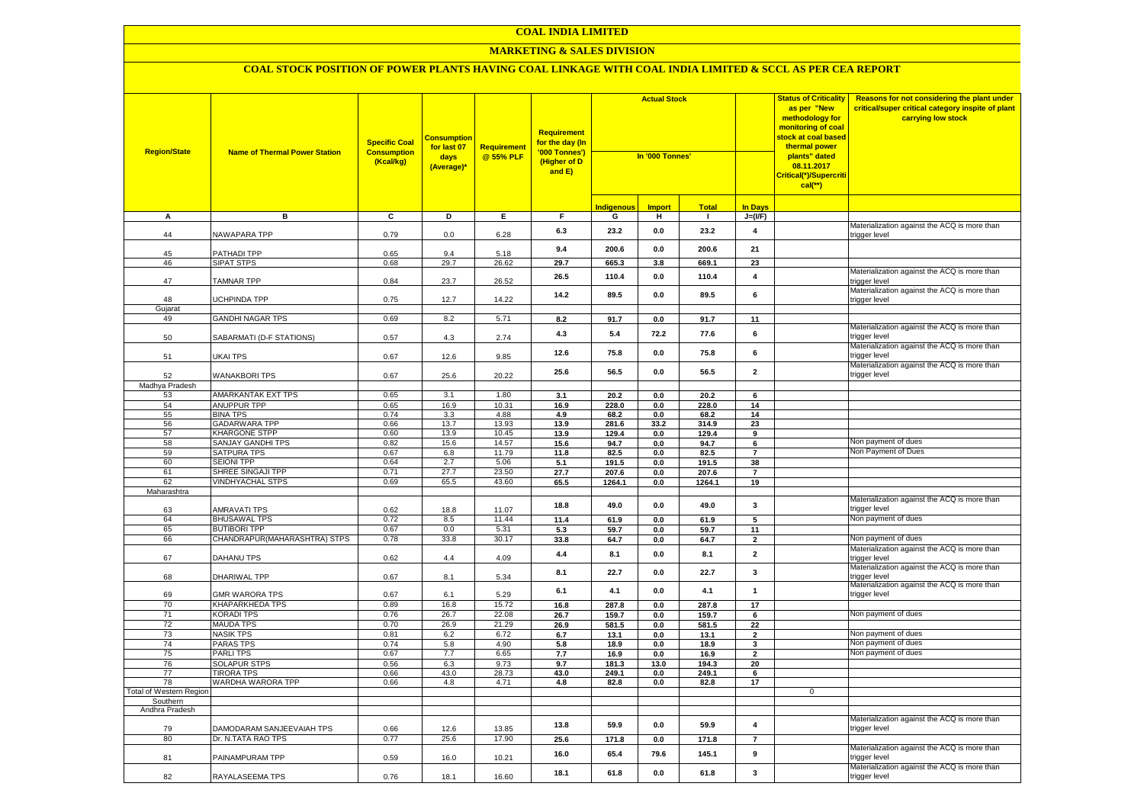#### **MARKETING & SALES DIVISION**

| <b>Region/State</b>     | <b>Name of Thermal Power Station</b>    | <b>Specific Coal</b><br><b>Consumption</b><br>(Kcal/kg) | <b>Consumption</b><br>for last 07<br>days<br>(Average)* | Requirement<br>@ 55% PLF | <b>Requirement</b><br>for the day (In<br>'000 Tonnes')<br>(Higher of D<br>and E) | <b>Actual Stock</b><br>In '000 Tonnes' |                |               |                              | <b>Status of Criticality</b><br>as per "New<br>methodology for<br>monitoring of coal<br><mark>stock at coal based</mark><br>thermal power<br>plants" dated<br>08.11.2017<br>Critical(*)/Supercriti<br>$cal$ (**) | Reasons for not considering the plant under<br>critical/super critical category inspite of plant<br>carrying low stock |
|-------------------------|-----------------------------------------|---------------------------------------------------------|---------------------------------------------------------|--------------------------|----------------------------------------------------------------------------------|----------------------------------------|----------------|---------------|------------------------------|------------------------------------------------------------------------------------------------------------------------------------------------------------------------------------------------------------------|------------------------------------------------------------------------------------------------------------------------|
|                         |                                         |                                                         |                                                         |                          |                                                                                  | <u>Indigenous</u>                      | <b>Import</b>  | <b>Total</b>  | In Days                      |                                                                                                                                                                                                                  |                                                                                                                        |
| A                       | в                                       | $\overline{c}$                                          | Þ                                                       | E                        | F                                                                                | G                                      | н              | п.            | $J=(VF)$                     |                                                                                                                                                                                                                  |                                                                                                                        |
| 44                      | NAWAPARA TPP                            | 0.79                                                    | 0.0                                                     | 6.28                     | 6.3                                                                              | 23.2                                   | 0.0            | 23.2          | $\overline{\mathbf{4}}$      |                                                                                                                                                                                                                  | Materialization against the ACQ is more than<br>trigger level                                                          |
| 45                      | PATHADI TPP                             | 0.65                                                    | 9.4                                                     | 5.18                     | 9.4                                                                              | 200.6                                  | 0.0            | 200.6         | 21                           |                                                                                                                                                                                                                  |                                                                                                                        |
| 46                      | <b>SIPAT STPS</b>                       | 0.68                                                    | 29.7                                                    | 26.62                    | 29.7                                                                             | 665.3                                  | 3.8            | 669.1         | 23                           |                                                                                                                                                                                                                  |                                                                                                                        |
| 47                      | <b>TAMNAR TPP</b>                       | 0.84                                                    | 23.7                                                    | 26.52                    | 26.5                                                                             | 110.4                                  | 0.0            | 110.4         | $\overline{\mathbf{4}}$      |                                                                                                                                                                                                                  | Materialization against the ACQ is more than<br>trigger level                                                          |
| 48                      | <b>JCHPINDA TPP</b>                     | 0.75                                                    | 12.7                                                    | 14.22                    | 14.2                                                                             | 89.5                                   | 0.0            | 89.5          | 6                            |                                                                                                                                                                                                                  | Materialization against the ACQ is more than<br>trigger level                                                          |
| Gujarat                 |                                         |                                                         |                                                         |                          |                                                                                  |                                        |                |               |                              |                                                                                                                                                                                                                  |                                                                                                                        |
| 49                      | <b>GANDHI NAGAR TPS</b>                 | 0.69                                                    | 8.2                                                     | 5.71                     | 8.2                                                                              | 91.7                                   | $\mathbf{0.0}$ | 91.7          | 11                           |                                                                                                                                                                                                                  | Materialization against the ACQ is more than                                                                           |
| 50                      | SABARMATI (D-F STATIONS)                | 0.57                                                    | 4.3                                                     | 2.74                     | 4.3                                                                              | 5.4                                    | 72.2           | 77.6          | 6                            |                                                                                                                                                                                                                  | trigger level<br>Materialization against the ACQ is more than                                                          |
| 51                      | UKAI TPS                                | 0.67                                                    | 12.6                                                    | 9.85                     | 12.6                                                                             | 75.8                                   | 0.0            | 75.8          | 6                            |                                                                                                                                                                                                                  | trigger level                                                                                                          |
| 52                      | <b>WANAKBORI TPS</b>                    | 0.67                                                    | 25.6                                                    | 20.22                    | 25.6                                                                             | 56.5                                   | 0.0            | 56.5          | $\overline{2}$               |                                                                                                                                                                                                                  | Materialization against the ACQ is more than<br>trigger level                                                          |
| Madhya Pradesh          |                                         |                                                         |                                                         |                          |                                                                                  |                                        |                |               |                              |                                                                                                                                                                                                                  |                                                                                                                        |
| 53                      | AMARKANTAK EXT TPS                      | 0.65                                                    | 3.1                                                     | 1.80                     | 3.1                                                                              | 20.2                                   | 0.0            | 20.2          | 6                            |                                                                                                                                                                                                                  |                                                                                                                        |
| 54                      | ANUPPUR TPP                             | 0.65                                                    | 16.9                                                    | 10.31                    | 16.9                                                                             | 228.0                                  | 0.0            | 228.0         | 14                           |                                                                                                                                                                                                                  |                                                                                                                        |
| 55<br>56                | <b>BINA TPS</b><br><b>GADARWARA TPP</b> | 0.74<br>0.66                                            | 3.3<br>13.7                                             | 4.88<br>13.93            | 4.9<br>13.9                                                                      | 68.2<br>281.6                          | 0.0<br>33.2    | 68.2<br>314.9 | 14<br>23                     |                                                                                                                                                                                                                  |                                                                                                                        |
| 57                      | <b>KHARGONE STPP</b>                    | 0.60                                                    | 13.9                                                    | 10.45                    | 13.9                                                                             | 129.4                                  | 0.0            | 129.4         | 9                            |                                                                                                                                                                                                                  |                                                                                                                        |
| 58                      | SANJAY GANDHI TPS                       | 0.82                                                    | 15.6                                                    | 14.57                    | 15.6                                                                             | 94.7                                   | 0.0            | 94.7          | 6                            |                                                                                                                                                                                                                  | Non payment of dues                                                                                                    |
| 59                      | <b>SATPURA TPS</b>                      | 0.67                                                    | 6.8                                                     | 11.79                    | 11.8                                                                             | 82.5                                   | 0.0            | 82.5          | $\overline{7}$               |                                                                                                                                                                                                                  | Non Payment of Dues                                                                                                    |
| 60                      | <b>SEIONI TPP</b>                       | 0.64                                                    | 2.7                                                     | 5.06                     | 5.1                                                                              | 191.5                                  | 0.0            | 191.5         | 38                           |                                                                                                                                                                                                                  |                                                                                                                        |
| 61                      | SHREE SINGAJI TPP                       | 0.71                                                    | 27.7                                                    | 23.50                    | 27.7                                                                             | 207.6                                  | 0.0            | 207.6         | $\overline{7}$               |                                                                                                                                                                                                                  |                                                                                                                        |
| 62                      | <b>VINDHYACHAL STPS</b>                 | 0.69                                                    | 65.5                                                    | 43.60                    | 65.5                                                                             | 1264.1                                 | 0.0            | 1264.1        | 19                           |                                                                                                                                                                                                                  |                                                                                                                        |
| Maharashtra             |                                         |                                                         |                                                         |                          |                                                                                  |                                        |                |               |                              |                                                                                                                                                                                                                  |                                                                                                                        |
| 63                      | <b>AMRAVATI TPS</b>                     | 0.62                                                    | 18.8                                                    | 11.07                    | 18.8                                                                             | 49.0                                   | 0.0            | 49.0          | 3                            |                                                                                                                                                                                                                  | Materialization against the ACQ is more than<br>trigger level                                                          |
| 64                      | <b>BHUSAWAL TPS</b>                     | 0.72                                                    | 8.5                                                     | 11.44                    | 11.4                                                                             | 61.9                                   | 0.0            | 61.9          | 5                            |                                                                                                                                                                                                                  | Non payment of dues                                                                                                    |
| 65                      | <b>BUTIBORI TPP</b>                     | 0.67                                                    | 0.0                                                     | 5.31                     | 5.3                                                                              | 59.7                                   | $0.0\,$        | 59.7          | 11                           |                                                                                                                                                                                                                  |                                                                                                                        |
| 66                      | CHANDRAPUR (MAHARASHTRA) STPS           | 0.78                                                    | 33.8                                                    | 30.17                    | 33.8                                                                             | 64.7                                   | 0.0            | 64.7          | $\overline{2}$               |                                                                                                                                                                                                                  | Von payment of dues                                                                                                    |
| 67                      | <b>DAHANU TPS</b>                       | 0.62                                                    | 4.4                                                     | 4.09                     | 4.4                                                                              | 8.1                                    | 0.0            | 8.1           | $\mathbf 2$                  |                                                                                                                                                                                                                  | Materialization against the ACQ is more than<br>trigger level                                                          |
| 68                      | DHARIWAL TPP                            | 0.67                                                    | 8.1                                                     | 5.34                     | 8.1                                                                              | 22.7                                   | 0.0            | 22.7          | 3                            |                                                                                                                                                                                                                  | Materialization against the ACQ is more than<br>trigger level                                                          |
| 69                      | <b>GMR WARORA TPS</b>                   | 0.67                                                    | 6.1                                                     | 5.29                     | 6.1                                                                              | 4.1                                    | 0.0            | 4.1           | $\mathbf{1}$                 |                                                                                                                                                                                                                  | Materialization against the ACQ is more than<br>trigger level                                                          |
| 70                      | <b>KHAPARKHEDA TPS</b>                  | 0.89                                                    | 16.8                                                    | 15.72                    | 16.8                                                                             | 287.8                                  | 0.0            | 287.8         | 17                           |                                                                                                                                                                                                                  |                                                                                                                        |
| 71                      | <b>KORADI TPS</b>                       | 0.76                                                    | 26.7                                                    | 22.08                    | 26.7                                                                             | 159.7                                  | 0.0            | 159.7         | 6                            |                                                                                                                                                                                                                  | Non payment of dues                                                                                                    |
| 72<br>73                | <b>MAUDA TPS</b>                        | 0.70                                                    | 26.9                                                    | 21.29                    | 26.9                                                                             | 581.5                                  | $0.0\,$        | 581.5         | 22                           |                                                                                                                                                                                                                  | Non payment of dues                                                                                                    |
| 74                      | <b>NASIK TPS</b>                        | 0.81                                                    | 6.2                                                     | 6.72                     | 6.7                                                                              | 13.1                                   | 0.0            | 13.1          | $\overline{\mathbf{2}}$      |                                                                                                                                                                                                                  | Non payment of dues                                                                                                    |
| 75                      | <b>PARAS TPS</b><br>PARLI TPS           | 0.74<br>0.67                                            | 5.8<br>7.7                                              | 4.90<br>6.65             | 5.8<br>7.7                                                                       | 18.9<br>16.9                           | 0.0<br>0.0     | 18.9<br>16.9  | 3<br>$\overline{\mathbf{2}}$ |                                                                                                                                                                                                                  | Non payment of dues                                                                                                    |
| 76                      | <b>SOLAPUR STPS</b>                     | 0.56                                                    | 6.3                                                     | 9.73                     | 9.7                                                                              | 181.3                                  | 13.0           | 194.3         | 20                           |                                                                                                                                                                                                                  |                                                                                                                        |
| 77                      | <b>TIRORA TPS</b>                       | 0.66                                                    | 43.0                                                    | 28.73                    | 43.0                                                                             | 249.1                                  | 0.0            | 249.1         | 6                            |                                                                                                                                                                                                                  |                                                                                                                        |
| 78                      | WARDHA WARORA TPP                       | 0.66                                                    | 4.8                                                     | 4.71                     | 4.8                                                                              | 82.8                                   | 0.0            | 82.8          | 17                           |                                                                                                                                                                                                                  |                                                                                                                        |
| Total of Western Region |                                         |                                                         |                                                         |                          |                                                                                  |                                        |                |               |                              | $\mathbf{0}$                                                                                                                                                                                                     |                                                                                                                        |
| Southern                |                                         |                                                         |                                                         |                          |                                                                                  |                                        |                |               |                              |                                                                                                                                                                                                                  |                                                                                                                        |
| Andhra Pradesh          |                                         |                                                         |                                                         |                          |                                                                                  |                                        |                |               |                              |                                                                                                                                                                                                                  |                                                                                                                        |
| 79                      | DAMODARAM SANJEEVAIAH TPS               | 0.66                                                    | 12.6                                                    | 13.85                    | 13.8                                                                             | 59.9                                   | 0.0            | 59.9          | 4                            |                                                                                                                                                                                                                  | Materialization against the ACQ is more than<br>trigger level                                                          |
| 80                      | Dr. N.TATA RAO TPS                      | 0.77                                                    | 25.6                                                    | 17.90                    | 25.6                                                                             | 171.8                                  | 0.0            | 171.8         | $\overline{7}$               |                                                                                                                                                                                                                  |                                                                                                                        |
| 81                      | PAINAMPURAM TPP                         | 0.59                                                    | 16.0                                                    | 10.21                    | 16.0                                                                             | 65.4                                   | 79.6           | 145.1         | 9                            |                                                                                                                                                                                                                  | Materialization against the ACQ is more than<br>trigger level                                                          |
| 82                      | RAYALASEEMA TPS                         | 0.76                                                    | 18.1                                                    | 16.60                    | 18.1                                                                             | 61.8                                   | 0.0            | 61.8          | 3                            |                                                                                                                                                                                                                  | Materialization against the ACQ is more than<br>trigger level                                                          |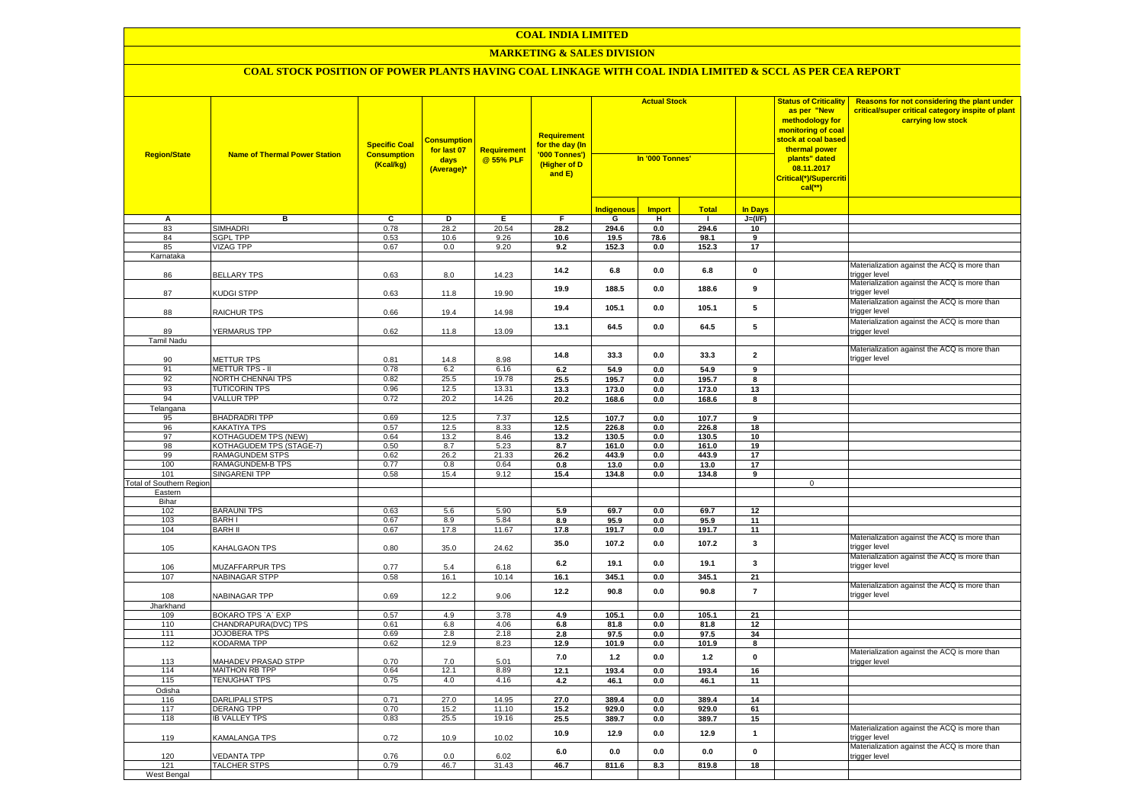#### **MARKETING & SALES DIVISION**

| <b>Region/State</b>                    | <b>Name of Thermal Power Station</b>        | <b>Specific Coal</b><br><b>Consumption</b><br>(Kcal/kg) | <b>Consumptior</b><br>for last 07<br>days<br>(Average)* | <b>Requirement</b><br>@ 55% PLF | <b>Requirement</b><br>for the day (In<br>'000 Tonnes')<br>(Higher of D<br>and E) | <b>Actual Stock</b><br>In '000 Tonnes' |                |              | <b>Status of Criticality</b><br>as per "New<br>methodology for<br>monitoring of coal<br><mark>stock at coal based</mark><br>thermal power<br>plants" dated<br>08.11.2017<br>Critical(*)/Supercriti<br>$cal$ (**) | Reasons for not considering the plant under<br>critical/super critical category inspite of plant<br>carrying low stock |                                                               |
|----------------------------------------|---------------------------------------------|---------------------------------------------------------|---------------------------------------------------------|---------------------------------|----------------------------------------------------------------------------------|----------------------------------------|----------------|--------------|------------------------------------------------------------------------------------------------------------------------------------------------------------------------------------------------------------------|------------------------------------------------------------------------------------------------------------------------|---------------------------------------------------------------|
|                                        |                                             |                                                         |                                                         |                                 |                                                                                  | ndigenous                              | <b>Import</b>  | <b>Total</b> | <b>In Davs</b>                                                                                                                                                                                                   |                                                                                                                        |                                                               |
| А                                      | в                                           | $\overline{c}$                                          | Þ                                                       | E                               | $\overline{F}$                                                                   | G                                      | н              | -1           | $J=(VF)$                                                                                                                                                                                                         |                                                                                                                        |                                                               |
| 83                                     | <b>SIMHADRI</b>                             | 0.78                                                    | 28.2                                                    | 20.54                           | 28.2                                                                             | 294.6                                  | 0.0            | 294.6        | 10                                                                                                                                                                                                               |                                                                                                                        |                                                               |
| 84                                     | <b>SGPL TPP</b>                             | 0.53                                                    | 10.6                                                    | 9.26                            | 10.6                                                                             | 19.5                                   | 78.6           | 98.1         | 9                                                                                                                                                                                                                |                                                                                                                        |                                                               |
| 85                                     | <b>VIZAG TPP</b>                            | 0.67                                                    | 0.0                                                     | 9.20                            | 9.2                                                                              | 152.3                                  | 0.0            | 152.3        | 17                                                                                                                                                                                                               |                                                                                                                        |                                                               |
| Karnataka                              |                                             |                                                         |                                                         |                                 |                                                                                  |                                        |                |              |                                                                                                                                                                                                                  |                                                                                                                        |                                                               |
| 86                                     | <b>BELLARY TPS</b>                          | 0.63                                                    | 8.0                                                     | 14.23                           | 14.2                                                                             | 6.8                                    | $0.0\,$        | 6.8          | $\mathbf 0$                                                                                                                                                                                                      |                                                                                                                        | Materialization against the ACQ is more than<br>trigger level |
| 87                                     | KUDGI STPP                                  | 0.63                                                    | 11.8                                                    | 19.90                           | 19.9                                                                             | 188.5                                  | 0.0            | 188.6        | 9                                                                                                                                                                                                                |                                                                                                                        | Materialization against the ACQ is more than<br>trigger level |
| 88                                     | <b>RAICHUR TPS</b>                          | 0.66                                                    | 19.4                                                    | 14.98                           | 19.4                                                                             | 105.1                                  | 0.0            | 105.1        | 5                                                                                                                                                                                                                |                                                                                                                        | Materialization against the ACQ is more than<br>rigger level  |
|                                        |                                             |                                                         |                                                         |                                 | 13.1                                                                             | 64.5                                   | 0.0            | 64.5         | 5                                                                                                                                                                                                                |                                                                                                                        | Materialization against the ACQ is more than                  |
| 89                                     | YERMARUS TPP                                | 0.62                                                    | 11.8                                                    | 13.09                           |                                                                                  |                                        |                |              |                                                                                                                                                                                                                  |                                                                                                                        | rigger level                                                  |
| Tamil Nadu                             |                                             |                                                         |                                                         |                                 |                                                                                  |                                        |                |              |                                                                                                                                                                                                                  |                                                                                                                        | Materialization against the ACQ is more than                  |
| 90                                     | <b>METTUR TPS</b>                           | 0.81                                                    | 14.8                                                    | 8.98                            | 14.8                                                                             | 33.3                                   | 0.0            | 33.3         | $\overline{\mathbf{2}}$                                                                                                                                                                                          |                                                                                                                        | trigger level                                                 |
| 91                                     | METTUR TPS - II                             | 0.78                                                    | 6.2                                                     | 6.16                            | 6.2                                                                              | 54.9                                   | 0.0            | 54.9         | 9                                                                                                                                                                                                                |                                                                                                                        |                                                               |
| 92                                     | NORTH CHENNAI TPS                           | 0.82                                                    | 25.5                                                    | 19.78                           | 25.5                                                                             | 195.7                                  | 0.0            | 195.7        | 8                                                                                                                                                                                                                |                                                                                                                        |                                                               |
| 93                                     | <b>TUTICORIN TPS</b>                        | 0.96                                                    | 12.5                                                    | 13.31                           | 13.3                                                                             | 173.0                                  | 0.0            | 173.0        | 13                                                                                                                                                                                                               |                                                                                                                        |                                                               |
| 94                                     | <b>VALLUR TPP</b>                           | 0.72                                                    | 20.2                                                    | 14.26                           | 20.2                                                                             | 168.6                                  | $0.0\,$        | 168.6        | 8                                                                                                                                                                                                                |                                                                                                                        |                                                               |
| Telangana                              |                                             |                                                         |                                                         |                                 |                                                                                  |                                        |                |              |                                                                                                                                                                                                                  |                                                                                                                        |                                                               |
| 95                                     | <b>BHADRADRI TPP</b>                        | 0.69                                                    | 12.5                                                    | 7.37                            | 12.5                                                                             | 107.7                                  | 0.0            | 107.7        | $\overline{9}$                                                                                                                                                                                                   |                                                                                                                        |                                                               |
| 96                                     | <b>KAKATIYA TPS</b>                         | 0.57                                                    | 12.5                                                    | 8.33                            | 12.5                                                                             | 226.8                                  | 0.0            | 226.8        | 18                                                                                                                                                                                                               |                                                                                                                        |                                                               |
| 97                                     | KOTHAGUDEM TPS (NEW)                        | 0.64                                                    | 13.2                                                    | 8.46                            | 13.2                                                                             | 130.5                                  | 0.0            | 130.5        | 10                                                                                                                                                                                                               |                                                                                                                        |                                                               |
| 98                                     | KOTHAGUDEM TPS (STAGE-7)                    | 0.50                                                    | 8.7                                                     | 5.23                            | 8.7                                                                              | 161.0                                  | 0.0            | 161.0        | 19                                                                                                                                                                                                               |                                                                                                                        |                                                               |
| 99                                     | RAMAGUNDEM STPS                             | 0.62                                                    | 26.2                                                    | 21.33                           | 26.2                                                                             | 443.9                                  | 0.0            | 443.9        | 17                                                                                                                                                                                                               |                                                                                                                        |                                                               |
| 100                                    | RAMAGUNDEM-B TPS                            | 0.77                                                    | 0.8                                                     | 0.64<br>9.12                    | 0.8                                                                              | 13.0                                   | 0.0            | 13.0         | 17<br>9                                                                                                                                                                                                          |                                                                                                                        |                                                               |
| 101<br><b>Total of Southern Region</b> | <b>SINGARENI TPP</b>                        | 0.58                                                    | 15.4                                                    |                                 | 15.4                                                                             | 134.8                                  | $0.0\,$        | 134.8        |                                                                                                                                                                                                                  | $\mathbf 0$                                                                                                            |                                                               |
| Eastern                                |                                             |                                                         |                                                         |                                 |                                                                                  |                                        |                |              |                                                                                                                                                                                                                  |                                                                                                                        |                                                               |
| Bihar                                  |                                             |                                                         |                                                         |                                 |                                                                                  |                                        |                |              |                                                                                                                                                                                                                  |                                                                                                                        |                                                               |
| 102                                    | <b>BARAUNI TPS</b>                          | 0.63                                                    | 5.6                                                     | 5.90                            | 5.9                                                                              | 69.7                                   | 0.0            | 69.7         | 12                                                                                                                                                                                                               |                                                                                                                        |                                                               |
| 103                                    | <b>BARHI</b>                                | 0.67                                                    | 8.9                                                     | 5.84                            | 8.9                                                                              | 95.9                                   | 0.0            | 95.9         | 11                                                                                                                                                                                                               |                                                                                                                        |                                                               |
| 104                                    | <b>BARH II</b>                              | 0.67                                                    | 17.8                                                    | 11.67                           | 17.8                                                                             | 191.7                                  | 0.0            | 191.7        | 11                                                                                                                                                                                                               |                                                                                                                        |                                                               |
| 105                                    | KAHALGAON TPS                               | 0.80                                                    | 35.0                                                    | 24.62                           | 35.0                                                                             | 107.2                                  | 0.0            | 107.2        | 3                                                                                                                                                                                                                |                                                                                                                        | Materialization against the ACQ is more than<br>rigger level: |
| 106                                    | MUZAFFARPUR TPS                             | 0.77                                                    | 5.4                                                     | 6.18                            | 6.2                                                                              | 19.1                                   | 0.0            | 19.1         | $\mathbf{3}$                                                                                                                                                                                                     |                                                                                                                        | Materialization against the ACQ is more than<br>rigger level  |
| 107                                    | <b>NABINAGAR STPP</b>                       | 0.58                                                    | 16.1                                                    | 10.14                           | 16.1                                                                             | 345.1                                  | 0.0            | 345.1        | 21                                                                                                                                                                                                               |                                                                                                                        |                                                               |
| 108                                    | NABINAGAR TPP                               | 0.69                                                    | 12.2                                                    | 9.06                            | 12.2                                                                             | 90.8                                   | 0.0            | 90.8         | $\overline{7}$                                                                                                                                                                                                   |                                                                                                                        | Materialization against the ACQ is more than<br>rigger level  |
| Jharkhand                              |                                             |                                                         |                                                         |                                 |                                                                                  |                                        |                |              |                                                                                                                                                                                                                  |                                                                                                                        |                                                               |
| 109                                    | BOKARO TPS 'A' EXP                          | 0.57                                                    | 4.9                                                     | 3.78                            | 4.9                                                                              | 105.1                                  | $0.0\,$        | 105.1        | 21                                                                                                                                                                                                               |                                                                                                                        |                                                               |
| 110<br>111                             | CHANDRAPURA(DVC) TPS<br><b>JOJOBERA TPS</b> | 0.61<br>0.69                                            | 6.8<br>2.8                                              | 4.06<br>2.18                    | 6.8<br>2.8                                                                       | 81.8<br>97.5                           | $0.0\,$<br>0.0 | 81.8<br>97.5 | 12<br>34                                                                                                                                                                                                         |                                                                                                                        |                                                               |
| 112                                    | KODARMA TPP                                 | 0.62                                                    | 12.9                                                    | 8.23                            | 12.9                                                                             | 101.9                                  | $0.0\,$        | 101.9        | 8                                                                                                                                                                                                                |                                                                                                                        |                                                               |
|                                        |                                             |                                                         |                                                         |                                 |                                                                                  |                                        |                |              |                                                                                                                                                                                                                  |                                                                                                                        | Materialization against the ACQ is more than                  |
| 113                                    | MAHADEV PRASAD STPP                         | 0.70                                                    | $7.0$                                                   | 5.01                            | 7.0                                                                              | $1.2$                                  | $0.0\,$        | $1.2$        | $\pmb{0}$                                                                                                                                                                                                        |                                                                                                                        | rigger level                                                  |
| 114                                    | <b>MAITHON RB TPP</b>                       | 0.64                                                    | 12.1                                                    | 8.89                            | 12.1                                                                             | 193.4                                  | 0.0            | 193.4        | 16                                                                                                                                                                                                               |                                                                                                                        |                                                               |
| 115                                    | <b>TENUGHAT TPS</b>                         | 0.75                                                    | 4.0                                                     | 4.16                            | 4.2                                                                              | 46.1                                   | 0.0            | 46.1         | 11                                                                                                                                                                                                               |                                                                                                                        |                                                               |
| Odisha                                 |                                             |                                                         |                                                         |                                 |                                                                                  |                                        |                |              |                                                                                                                                                                                                                  |                                                                                                                        |                                                               |
| 116                                    | <b>DARLIPALI STPS</b>                       | 0.71                                                    | 27.0                                                    | 14.95                           | 27.0                                                                             | 389.4                                  | 0.0            | 389.4        | 14                                                                                                                                                                                                               |                                                                                                                        |                                                               |
| 117                                    | DERANG TPP                                  | 0.70                                                    | 15.2                                                    | 11.10                           | 15.2                                                                             | 929.0                                  | 0.0            | 929.0        | 61                                                                                                                                                                                                               |                                                                                                                        |                                                               |
| 118                                    | <b>IB VALLEY TPS</b>                        | 0.83                                                    | 25.5                                                    | 19.16                           | 25.5                                                                             | 389.7                                  | $0.0\,$        | 389.7        | 15                                                                                                                                                                                                               |                                                                                                                        |                                                               |
| 119                                    | <b>KAMALANGA TPS</b>                        | 0.72                                                    | 10.9                                                    | 10.02                           | 10.9                                                                             | 12.9                                   | 0.0            | 12.9         | $\mathbf{1}$                                                                                                                                                                                                     |                                                                                                                        | Materialization against the ACQ is more than<br>rigger level  |
| 120                                    | <b>/EDANTA TPP</b>                          | 0.76                                                    | 0.0                                                     | 6.02                            | 6.0                                                                              | 0.0                                    | 0.0            | 0.0          | $\pmb{0}$                                                                                                                                                                                                        |                                                                                                                        | Materialization against the ACQ is more than<br>trigger level |
| 121                                    | <b>TALCHER STPS</b>                         | 0.79                                                    | 46.7                                                    | 31.43                           | 46.7                                                                             | 811.6                                  | 8.3            | 819.8        | 18                                                                                                                                                                                                               |                                                                                                                        |                                                               |
| West Bengal                            |                                             |                                                         |                                                         |                                 |                                                                                  |                                        |                |              |                                                                                                                                                                                                                  |                                                                                                                        |                                                               |